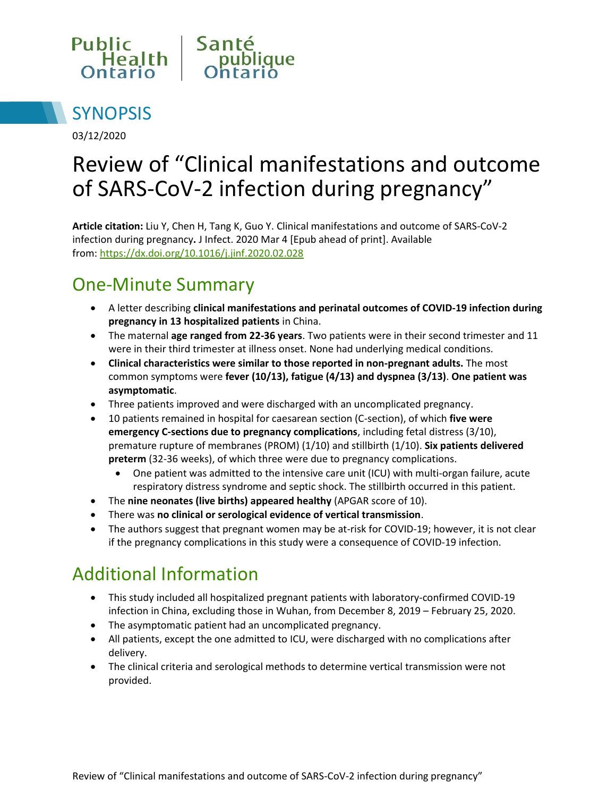



03/12/2020

# Review of "Clinical manifestations and outcome of SARS-CoV-2 infection during pregnancy"

**Article citation:** Liu Y, Chen H, Tang K, Guo Y. Clinical manifestations and outcome of SARS-CoV-2 infection during pregnancy**.** J Infect. 2020 Mar 4 [Epub ahead of print]. Available from:<https://dx.doi.org/10.1016/j.jinf.2020.02.028>

## One-Minute Summary

- A letter describing **clinical manifestations and perinatal outcomes of COVID-19 infection during pregnancy in 13 hospitalized patients** in China.
- The maternal **age ranged from 22-36 years**. Two patients were in their second trimester and 11 were in their third trimester at illness onset. None had underlying medical conditions.
- **Clinical characteristics were similar to those reported in non-pregnant adults.** The most common symptoms were **fever (10/13), fatigue (4/13) and dyspnea (3/13)**. **One patient was asymptomatic**.
- Three patients improved and were discharged with an uncomplicated pregnancy.
- 10 patients remained in hospital for caesarean section (C-section), of which **five were emergency C-sections due to pregnancy complications**, including fetal distress (3/10), premature rupture of membranes (PROM) (1/10) and stillbirth (1/10). **Six patients delivered preterm** (32-36 weeks), of which three were due to pregnancy complications.
	- One patient was admitted to the intensive care unit (ICU) with multi-organ failure, acute respiratory distress syndrome and septic shock. The stillbirth occurred in this patient.
- The **nine neonates (live births) appeared healthy** (APGAR score of 10).
- There was **no clinical or serological evidence of vertical transmission**.
- The authors suggest that pregnant women may be at-risk for COVID-19; however, it is not clear if the pregnancy complications in this study were a consequence of COVID-19 infection.

#### Additional Information

- This study included all hospitalized pregnant patients with laboratory-confirmed COVID-19 infection in China, excluding those in Wuhan, from December 8, 2019 – February 25, 2020.
- The asymptomatic patient had an uncomplicated pregnancy.
- All patients, except the one admitted to ICU, were discharged with no complications after delivery.
- The clinical criteria and serological methods to determine vertical transmission were not provided.